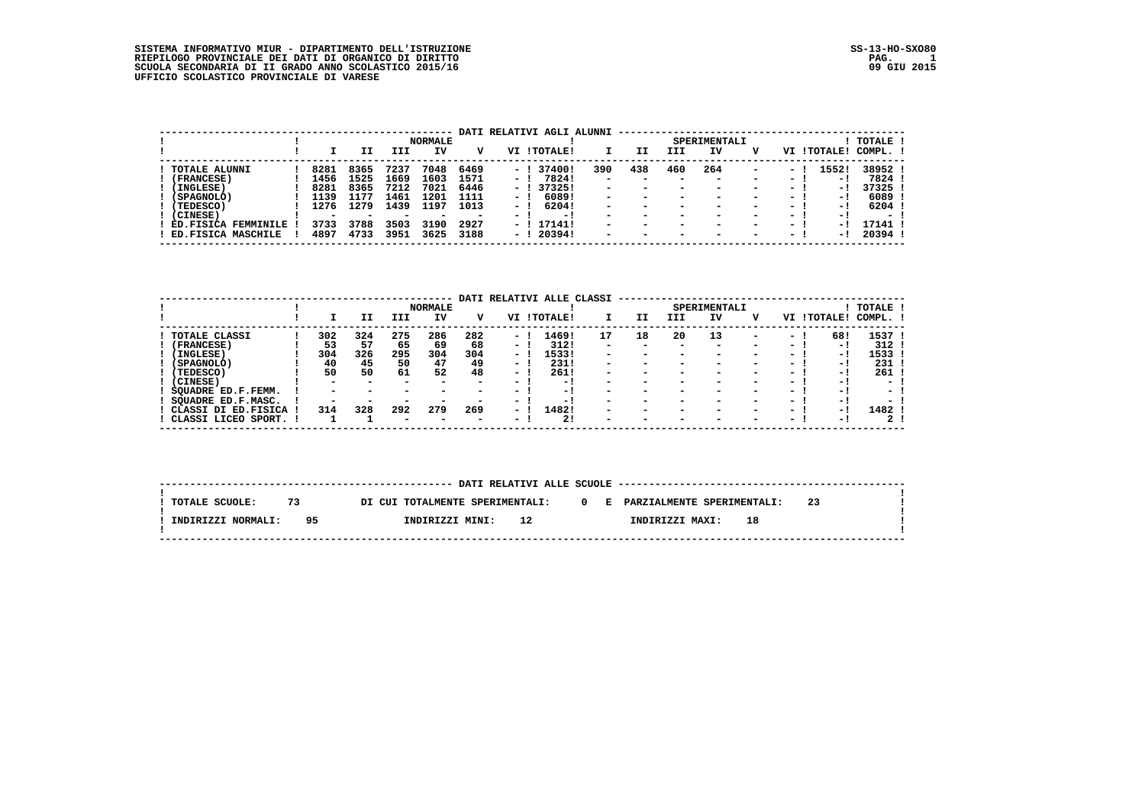SISTEMA INFORMATIVO MIUR – DIPARTIMENTO DELL'ISTRUZIONE<br>RIEPILOGO PROVINCIALE DEI DATI DI ORGANICO DI DIRITTO<br>SCUOLA SECONDARIA DI II GRADO ANNO SCOLASTICO 2015/16<br>UFFICIO SCOLASTICO PROVINCIALE DI VARESE<br>UFFICIO SCOLASTIC

|                     |      |                          |      | <b>NORMALE</b>           |      |      | DATI RELATIVI AGLI ALUNNI |                          |                          |                          | SPERIMENTALI             |                          |        |                 | TOTALE ! |
|---------------------|------|--------------------------|------|--------------------------|------|------|---------------------------|--------------------------|--------------------------|--------------------------|--------------------------|--------------------------|--------|-----------------|----------|
|                     |      | IΙ                       | III  | IV                       | v    | VI   | <b>! TOTALE!</b>          |                          | IΙ                       | III                      | IV                       | v                        | VI     | <b>ITOTALE!</b> | COMPL.   |
| TOTALE ALUNNI       | 8281 | 8365                     | 7237 | 7048                     | 6469 |      | $-1374001$                | 390                      | 438                      | 460                      | 264                      | $\overline{\phantom{0}}$ | $\sim$ | 1552!           | 38952!   |
| (FRANCESE)          | 1456 | 1525                     | 1669 | 1603                     | 1571 | $-1$ | 78241                     | $\overline{\phantom{0}}$ |                          | -                        |                          | $\overline{\phantom{0}}$ | $\sim$ | - 11            | 7824 !   |
| (INGLESE)           | 8281 | 8365                     | 7212 | 7021                     | 6446 |      | - 1373251                 | $\overline{\phantom{0}}$ | $\overline{\phantom{0}}$ | -                        |                          | $\overline{\phantom{0}}$ | $\sim$ | $-1$            | 37325 !  |
| (SPAGNOLO)          | 1139 | 1177                     | 1461 | 1201                     | 1111 | $-1$ | 60891                     | $\overline{\phantom{a}}$ | $\overline{\phantom{0}}$ | $\overline{\phantom{0}}$ | $\overline{\phantom{0}}$ | -                        | $\sim$ | $-1$            | 6089 !   |
| (TEDESCO)           | 1276 | 1279                     | 1439 | 1197                     | 1013 | $-1$ | 62041                     | $\overline{\phantom{a}}$ | $\overline{\phantom{0}}$ | $\overline{\phantom{a}}$ | -                        | -                        | $ -$   | $-1$            | 6204 !   |
| (CINESE)            |      | $\overline{\phantom{0}}$ |      | $\overline{\phantom{a}}$ | -    | - 1  | $-1$                      | $\overline{\phantom{0}}$ | $\overline{\phantom{a}}$ | $\overline{\phantom{a}}$ | -                        | $\overline{\phantom{0}}$ | $\sim$ | $-1$            | $\sim$   |
| ED.FISICA FEMMINILE | 3733 | 3788                     | 3503 | 3190                     | 2927 |      | - ! 17141!                | $\overline{\phantom{a}}$ | $\overline{\phantom{0}}$ | $\overline{\phantom{0}}$ | -                        | -                        | - 1    | - 11            | 17141 !  |
| ED.FISICA MASCHILE  | 4897 | 4733                     | 3951 | 3625                     | 3188 | $-1$ | 20394!                    | $\overline{\phantom{0}}$ | $\overline{\phantom{a}}$ | $\overline{\phantom{0}}$ | -                        | $\overline{\phantom{a}}$ | $ -$   | $-1$            | 20394!   |

|                               |                          |                          |                          | <b>NORMALE</b>           | DATI                     |                          | RELATIVI ALLE CLASSI |                          |                          |                          | SPERIMENTALI             |                          |        |          | TOTALE !                 |
|-------------------------------|--------------------------|--------------------------|--------------------------|--------------------------|--------------------------|--------------------------|----------------------|--------------------------|--------------------------|--------------------------|--------------------------|--------------------------|--------|----------|--------------------------|
|                               |                          | нI                       | III                      | IV                       | v                        | VI                       | ! TOTALE!            |                          | IJ                       | III                      | ΙV                       | v                        | VI     | !TOTALE! | COMPL.                   |
| <b>TOTALE CLASSI</b>          | 302                      | 324                      | 275                      | 286                      | 282                      | - 1                      | 1469!                | 17                       | 18                       | 20                       | 13                       | $\overline{\phantom{0}}$ | - 1    | 68!      | 1537                     |
| (FRANCESE)                    | 53                       | 57                       | 65                       | 69                       | 68                       | $\overline{\phantom{0}}$ | 312!                 | $\overline{\phantom{0}}$ | $\overline{\phantom{a}}$ | $\overline{\phantom{a}}$ | $\overline{\phantom{a}}$ | $\overline{\phantom{0}}$ | - 1    | - 1      | 312                      |
| (INGLESE)                     | 304                      | 326                      | 295                      | 304                      | 304                      | ۰.                       | 1533!                | -                        |                          | $\overline{\phantom{a}}$ |                          | $\overline{\phantom{0}}$ | $ -$   | - 1      | 1533                     |
| (SPAGNOLO)                    | 40                       | 45                       | 50                       | 47                       | 49                       | $\overline{\phantom{0}}$ | 231!                 | $\overline{\phantom{0}}$ |                          |                          |                          | $\overline{\phantom{0}}$ | $\sim$ | - 1      | 231                      |
| (TEDESCO)                     | 50                       | 50                       | 61                       | 52                       | 48                       | $\sim$                   | 261!                 | $\overline{\phantom{0}}$ |                          | $\overline{\phantom{a}}$ |                          | $\overline{\phantom{0}}$ | $\sim$ | - 1      | 261                      |
| (CINESE)                      | $\overline{\phantom{0}}$ | -                        | -                        | $\overline{\phantom{0}}$ | -                        | $\overline{\phantom{0}}$ | - 1                  | $\overline{\phantom{0}}$ |                          |                          |                          | $\overline{\phantom{0}}$ | $\sim$ | - !      | -                        |
| SOUADRE ED.F.FEMM.            | -                        | $\overline{\phantom{a}}$ |                          | $\overline{\phantom{0}}$ | -                        | $\overline{\phantom{0}}$ | $-1$                 | -                        | $\overline{\phantom{a}}$ | $\overline{\phantom{a}}$ |                          | $\overline{\phantom{0}}$ | $\sim$ | - 1      | $\overline{\phantom{0}}$ |
| SQUADRE ED.F.MASC.            |                          | $\overline{\phantom{0}}$ |                          |                          |                          | $\overline{\phantom{0}}$ | - !                  | -                        |                          | -                        |                          | $\overline{\phantom{0}}$ | $\sim$ | - !      |                          |
| CLASSI DI<br><b>ED.FISICA</b> | 314                      | 328                      | 292                      | 279                      | 269                      | $\overline{\phantom{0}}$ | 1482!                | $\overline{\phantom{0}}$ | $\overline{\phantom{a}}$ | $\overline{\phantom{a}}$ |                          | $\overline{\phantom{0}}$ | $\sim$ | - 1      | 1482                     |
| CLASSI LICEO SPORT.           |                          |                          | $\overline{\phantom{0}}$ | $\overline{\phantom{0}}$ | $\overline{\phantom{0}}$ | $\overline{\phantom{0}}$ | 21                   | -                        |                          |                          |                          | -                        | $\sim$ | - 1      | 2                        |

 **--------------------------------------------------------------------------------------------------------------------------**

|                    |    |    | --------------                  |    |  | DATI RELATIVI ALLE SCUOLE -------------- |    |    |  |
|--------------------|----|----|---------------------------------|----|--|------------------------------------------|----|----|--|
| TOTALE SCUOLE:     | 73 |    | DI CUI TOTALMENTE SPERIMENTALI: |    |  | 0 E PARZIALMENTE SPERIMENTALI:           |    | 23 |  |
| INDIRIZZI NORMALI: |    | 95 | INDIRIZZI MINI:                 | 12 |  | INDIRIZZI MAXI:                          | 18 |    |  |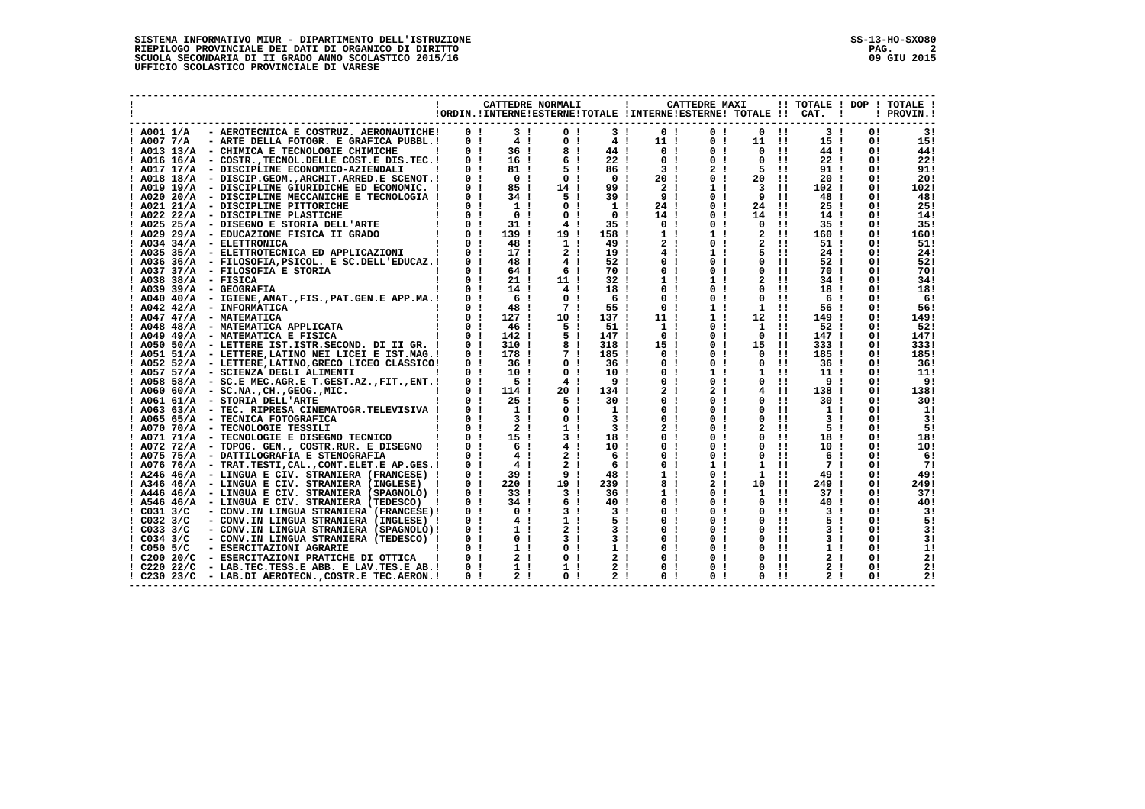|                                                           |                                  |                                  | CATTEDRE NORMALI                 |                                  | $\mathbf{I}$<br>!ORDIN. ! INTERNE ! ESTERNE ! TOTALE ! INTERNE ! ESTERNE ! TOTALE !! CAT. | CATTEDRE MAXI                    |                |                              | $\blacksquare$                   |           | !! TOTALE ! DOP ! TOTALE !<br>! PROVIN.! |
|-----------------------------------------------------------|----------------------------------|----------------------------------|----------------------------------|----------------------------------|-------------------------------------------------------------------------------------------|----------------------------------|----------------|------------------------------|----------------------------------|-----------|------------------------------------------|
| - AEROTECNICA E COSTRUZ. AERONAUTICHE!<br>! A001 1/A      | 0 <sub>1</sub>                   | 3 <sub>1</sub>                   | 0 <sub>1</sub>                   |                                  | 3!<br>0 <sub>1</sub>                                                                      | 0 <sub>1</sub>                   | 0              | $\blacksquare$               | 3 <sub>1</sub>                   | 0!        | 3!                                       |
| $!$ A007 7/A<br>- ARTE DELLA FOTOGR. E GRAFICA PUBBL.!    | 0 <sub>1</sub>                   | 4!                               | 0 <sub>1</sub>                   | 4 <sub>1</sub>                   | 11 <sub>1</sub>                                                                           | 0 <sub>1</sub>                   | 11             | - 11                         | 15 <sub>1</sub>                  | 0!        | 15!                                      |
| ! A013 13/A - CHIMICA E TECNOLOGIE CHIMICHE               | 0 <sub>1</sub>                   | 36 !                             | 8!                               | 44!                              | 0 <sub>1</sub>                                                                            | 0 <sub>1</sub>                   | 0              | $\pm 1$                      | 44!                              | 0 !       | 44!                                      |
| ! A016 16/A - COSTR., TECNOL. DELLE COST. E DIS. TEC. !   | 0 <sub>1</sub>                   | 16!                              | 6!                               | 22 <sub>1</sub>                  | 0 <sub>1</sub>                                                                            | 0 <sub>1</sub>                   | 0              | $\mathbf{H}$                 | 22 <sub>1</sub>                  | 0!        | 22!                                      |
| ! A017 17/A<br>- DISCIPLINE ECONOMICO-AZIENDALI           | 0 <sub>1</sub>                   | 81 !                             | 5 1                              | 86!                              | 3 <sub>1</sub>                                                                            | 2 <sub>1</sub>                   | 5              | -11                          | 91!                              | 0!        | 91!                                      |
| ! A018 18/A - DISCIP.GEOM., ARCHIT. ARRED. E SCENOT. !    | 0 <sub>1</sub>                   | 0 <sub>1</sub>                   | 0 <sub>1</sub>                   | 0 <sub>1</sub>                   | 20 !                                                                                      | 0 <sub>1</sub>                   | 20 !!          |                              | 20 <sub>1</sub>                  | 0!        | 20!                                      |
| ! A019 19/A - DISCIPLINE GIURIDICHE ED ECONOMIC. !        | 0 <sub>1</sub>                   | 85 !                             | 14!                              | 99!                              | 2 <sub>1</sub>                                                                            | 1!                               | 3              | -11                          | 102 !                            | 0 !       | 102!                                     |
| ! A020 20/A - DISCIPLINE MECCANICHE E TECNOLOGIA !        | 0 <sub>1</sub>                   | 34 <sub>1</sub>                  | 5 1                              | 39!                              | 9 <sub>1</sub>                                                                            | 0 <sub>1</sub>                   | 9              | $\pm 1$                      | 48 !                             | 0!        | 48!                                      |
| ! A021 21/A - DISCIPLINE PITTORICHE                       | 0 <sub>1</sub>                   | 1 <sub>1</sub>                   | 0 <sub>1</sub>                   | 1!                               | 24 !                                                                                      | 0 <sub>1</sub>                   | 24             | -11                          | 25 <sub>1</sub>                  | 0 !       | 25!                                      |
| ! A022 22/A - DISCIPLINE PLASTICHE                        | 0 <sub>1</sub>                   | 0 <sub>1</sub>                   | 0 <sub>1</sub>                   | 0 <sub>1</sub>                   | 14 !                                                                                      | 0 <sub>1</sub>                   | 14             | -11                          | 14!                              | 0!        | 14!                                      |
| ! A025 25/A - DISEGNO E STORIA DELL'ARTE                  | 0 <sub>1</sub>                   | $31$ !                           | 4 <sub>1</sub>                   | 35 <sub>1</sub>                  | 0 <sub>1</sub>                                                                            | 0 <sub>1</sub>                   | $\Omega$       | -11                          | 35 <sub>1</sub>                  | 0!        | 35!                                      |
| ! A029 29/A - EDUCAZIONE FISICA II GRADO                  | 0 <sub>1</sub>                   | 139!                             | 19!                              | 158!                             | 1 <sub>1</sub>                                                                            | 1 <sub>1</sub>                   | $\overline{a}$ | $\pm 1$                      | 160 !                            | 0!        | 160!                                     |
| $!$ A034 34/A - ELETTRONICA                               | 0 <sub>1</sub>                   | 48!                              | 1 <sub>1</sub>                   | 49!                              | 2 <sub>1</sub>                                                                            | 0 <sub>1</sub>                   |                | -11                          | 51 !                             | 0!        | 51!                                      |
| ! A035 35/A - ELETTROTECNICA ED APPLICAZIONI              | 0 <sub>1</sub>                   | 17 <sub>1</sub>                  | 2 <sub>1</sub>                   | 19 <sub>1</sub>                  | 4!                                                                                        | 1 <sub>1</sub>                   | 5              | $\mathbf{H}$                 | 24 !                             | 0!        | 24!                                      |
| ! A036 36/A - FILOSOFIA, PSICOL. E SC.DELL'EDUCAZ.!       | 0 <sub>1</sub>                   | 48!                              | 4 <sub>1</sub>                   | 52 !                             | 0 <sub>1</sub>                                                                            | 0 <sub>1</sub>                   | $\Omega$       | $\mathbf{H}$                 | 52 !                             | 0!        | 52!                                      |
| ! A037 37/A - FILOSOFIA E STORIA                          | 0 <sub>1</sub>                   | 64 !                             | 6!                               | 70 !                             | 0 <sub>1</sub>                                                                            | 0 <sub>1</sub>                   | 0              | -11                          | 70 !                             | 0!        | 70!                                      |
| ! A038 38/A - FISICA                                      | 0 <sub>1</sub>                   | 21:                              | 11 <sub>1</sub>                  | 32 !                             | 1!                                                                                        | 1 <sub>1</sub>                   | $\mathbf{2}$   | $\mathbf{H}$                 | 34 !                             | 0!        | 34!                                      |
| $!$ A039 39/A - GEOGRAFIA                                 | 0 <sub>1</sub>                   | 14 <sub>1</sub>                  | 4 <sub>1</sub>                   | 18!                              | 0 <sub>1</sub>                                                                            | 0 <sub>1</sub>                   | 0              | $\mathbf{1}$                 | 18!                              | 0!        | 18!                                      |
| ! A040 40/A - IGIENE, ANAT., FIS., PAT. GEN. E APP.MA.!   | 0 <sub>1</sub><br>0 <sub>1</sub> | 6!<br>48 !                       | 0 <sub>1</sub><br>7!             | 6!<br>55 !                       | 0 <sub>1</sub><br>0 <sub>1</sub>                                                          | 0 <sub>1</sub><br>1 <sub>1</sub> | 0<br>1         | $\mathbf{H}$<br>$\mathbf{H}$ | 6!<br>56 !                       | 0 !<br>0! | -61                                      |
| $!$ A042 42/A - INFORMATICA<br>$!$ A047 47/A - MATEMATICA | 0 <sub>1</sub>                   | 127 !                            | 10 !                             | 137 !                            | 11 !                                                                                      | 1 <sub>1</sub>                   | 12             | -11                          | 149 !                            | 0!        | 56!<br>149!                              |
| ! A048 48/A - MATEMATICA APPLICATA                        | 0 <sub>1</sub>                   | 46 !                             | 51                               | 51 <sub>1</sub>                  | 1 <sub>1</sub>                                                                            | 0 <sub>1</sub>                   | 1              | $\pm 1$                      | 52 !                             | 0!        | 52!                                      |
| $!$ A049 49/A $-$ MATEMATICA E FISICA                     | 0 <sub>1</sub>                   | 142 !                            | 5!                               | 147 !                            | 0 <sub>1</sub>                                                                            | 0 <sub>1</sub>                   | 0              | $\pm 1$                      | 147!                             | 0!        | 147!                                     |
| ! A050 50/A - LETTERE IST.ISTR.SECOND. DI II GR. !        | 0 <sub>1</sub>                   | 310 !                            | 8!                               | 318 !                            | 15 !                                                                                      | 0 <sub>1</sub>                   | 15             | -11                          | 333 !                            | 0 !       | 333!                                     |
| ! A051 51/A - LETTERE, LATINO NEI LICEI E IST.MAG.!       | 0 <sub>1</sub>                   | 178 !                            | 7!                               | 185!                             | 0 <sub>1</sub>                                                                            | 0 <sub>1</sub>                   | 0              | $\mathbf{H}$                 | 185 !                            | 0!        | 185!                                     |
| ! A052 52/A - LETTERE, LATINO, GRECO LICEO CLASSICO!      | 0 <sub>1</sub>                   | 36 I                             | 0 <sub>1</sub>                   | 36 <sub>1</sub>                  | 0 <sub>1</sub>                                                                            | 0 <sub>1</sub>                   | 0              | $\mathbf{H}$                 | 36 !                             | 0!        | 36!                                      |
| ! A057 57/A - SCIENZA DEGLI ALIMENTI                      | 0 <sub>1</sub>                   | 10 !                             | 0 <sub>1</sub>                   | 10!                              | 0 <sub>1</sub>                                                                            | 1 <sub>1</sub>                   | 1              | -11                          | 11 !                             | 0!        | 11!                                      |
| ! A058 58/A - SC.E MEC.AGR.E T.GEST.AZ., FIT., ENT.!      | 0 <sub>1</sub>                   | $-51$                            | 4 <sub>1</sub>                   | 9 <sub>1</sub>                   | 0 <sub>1</sub>                                                                            | 0 <sub>1</sub>                   | 0              | -11                          | 9 <sub>1</sub>                   | 0!        | 91                                       |
| $!$ A060 60/A - SC.NA., CH., GEOG., MIC.                  | 0 <sub>1</sub>                   | 114 !                            | 20!                              | 134 !                            | 2 <sub>1</sub>                                                                            | 21                               | 4              | $\mathbf{H}$                 | 138 !                            | 0!        | 138!                                     |
| $!$ A061 61/A - STORIA DELL'ARTE                          | 0 <sub>1</sub>                   | 25 <sub>1</sub>                  | 5 !                              | 30 !                             | 0 <sub>1</sub>                                                                            | 0 <sub>1</sub>                   | 0              | $\mathbf{H}$                 | 30 !                             | 0!        | 30!                                      |
| ! A063 63/A - TEC. RIPRESA CINEMATOGR. TELEVISIVA !       | 0 <sub>1</sub>                   | 1 <sub>1</sub>                   | 0 <sub>1</sub>                   | 1 <sub>1</sub>                   | 0 <sub>1</sub>                                                                            | 0 <sub>1</sub>                   | 0              | $\mathbf{1}$                 | 1 <sub>1</sub>                   | 0!        | 1!                                       |
| ! A065 65/A - TECNICA FOTOGRAFICA                         | 0 <sub>1</sub>                   | 3 <sub>1</sub>                   | 0 <sub>1</sub>                   | 3 <sub>1</sub>                   | 0 <sub>1</sub>                                                                            | 0 <sub>1</sub>                   | 0              | $\mathbf{H}$                 | 3 <sub>1</sub>                   | 0!        | 3!                                       |
| ! A070 70/A - TECNOLOGIE TESSILI                          | 0 <sub>1</sub>                   | 2 <sub>1</sub>                   | 1 <sub>1</sub>                   | 3 <sub>1</sub>                   | 2 <sub>1</sub>                                                                            | 0 <sub>1</sub>                   | 2              | $\mathbf{H}$                 | 5 <sub>1</sub>                   | 0!        | 5!                                       |
| ! A071 71/A - TECNOLOGIE E DISEGNO TECNICO                | 0 <sub>1</sub>                   | 15 <sub>1</sub>                  | 3 <sub>1</sub>                   | 18!                              | $^{\circ}$                                                                                | 0 <sub>1</sub><br>-1             | 0              | $\mathbf{H}$                 | 18!                              | 0!        | 18!                                      |
| ! A072<br>72/A - TOPOG. GEN., COSTR.RUR. E DISEGNO !      | 0 <sub>1</sub>                   | 6 <sub>1</sub>                   | 4 <sub>1</sub>                   | 10 <sub>1</sub>                  | 0 <sub>1</sub>                                                                            | 0 <sub>1</sub>                   | 0              | $\pm 1$                      | 10 <sub>1</sub>                  | 0!        | 10!                                      |
| ! A075 75/A - DATTILOGRAFIA E STENOGRAFIA                 | 0 <sub>1</sub>                   | 4!                               | 2 <sub>1</sub>                   | 6!                               | 0                                                                                         | 0!<br>-1                         | 0              | $\mathbf{H}$                 | 6!                               | 0 !       | 6!                                       |
| ! A076 76/A - TRAT. TESTI, CAL., CONT. ELET. E AP. GES. ! | 0 <sub>1</sub>                   | 4 <sub>1</sub>                   | 2 <sub>1</sub>                   | 6!                               | 0                                                                                         | 1 <sub>1</sub><br>-1             | 1              | $\mathbf{H}$                 | 71                               | 0!        | -71                                      |
| ! A246 46/A - LINGUA E CIV. STRANIERA (FRANCESE) !        | 0 <sub>1</sub>                   | 39 !                             | 9 <sub>1</sub>                   | 48!                              | 1                                                                                         | 0 <sub>1</sub><br>-1             | 1              | -11                          | 49!                              | 0!        | 49!                                      |
| ! A346 46/A - LINGUA E CIV. STRANIERA (INGLESE)           | 0 <sub>1</sub>                   | $220$ !                          | 19!                              | 239 <sub>1</sub>                 | 8!                                                                                        | 2 <sub>1</sub>                   | 10             | $\pm 1$                      | 249!                             | 0!        | 249!                                     |
| ! A446 46/A - LINGUA E CIV. STRANIERA (SPAGNOLO) !        | 0 <sub>1</sub>                   | 33 I                             | 3 <sub>1</sub>                   | 36 !                             | 1 <sub>1</sub>                                                                            | 0 <sub>1</sub>                   | $\mathbf{1}$   | -11                          | 37 <sub>1</sub>                  | 0!        | 37!                                      |
| ! A546 46/A<br>- LINGUA E CIV. STRANIERA (TEDESCO)        | 0 <sub>1</sub>                   | 34 !                             | 6!                               | 40!                              | 0 <sub>1</sub>                                                                            | 0 <sub>1</sub>                   | 0              | $\mathbf{H}$                 | 40 !                             | 0!        | 40!                                      |
| $!$ C031 3/C<br>- CONV.IN LINGUA STRANIERA (FRANCESE)!    | 0 <sub>1</sub>                   | 0 <sub>1</sub>                   | 3 <sub>1</sub>                   | 3 <sub>1</sub>                   | 0 <sub>1</sub>                                                                            | 0 <sub>1</sub>                   | 0              | -11                          | 3 <sub>1</sub>                   | 0!        | 3!                                       |
| $!$ C032 3/C<br>- CONV.IN LINGUA STRANIERA (INGLESE) !    | 0 <sub>1</sub>                   | 4!                               | 1 <sub>1</sub>                   | 51                               | 0                                                                                         | 0 <sub>1</sub><br>-1             | 0              | $\mathbf{1}$                 | 51                               | 0!        | 5!                                       |
| $!$ C033 3/C<br>- CONV.IN LINGUA STRANIERA (SPAGNOLO)!    | 0 <sub>1</sub>                   | 1 <sub>1</sub>                   | 2 <sub>1</sub>                   | 3 <sub>1</sub>                   | 0 <sub>1</sub>                                                                            | 0!                               | 0              | $\mathbf{H}$                 | 3 <sub>1</sub>                   | 0!        | 3!                                       |
| $!$ C034 3/C<br>- CONV.IN LINGUA STRANIERA (TEDESCO) !    | 0 <sub>1</sub>                   | 0 <sub>1</sub>                   | 3 <sub>1</sub>                   | 3 <sub>1</sub>                   | 0 <sub>1</sub>                                                                            | 0 <sub>1</sub>                   | 0              | $\mathbf{11}$                | 3 <sub>1</sub>                   | 0!        | 3!                                       |
| $!$ C050 5/C<br>- ESERCITAZIONI AGRARIE                   | 0 <sub>1</sub><br>0 <sub>1</sub> | 1 <sub>1</sub><br>2 <sub>1</sub> | 0 <sub>1</sub><br>0 <sub>1</sub> | 1 <sub>1</sub><br>2 <sub>1</sub> | 0 <sub>1</sub>                                                                            | 0 <sub>1</sub>                   | 0<br>0         | -11<br>-11                   | 1 <sub>1</sub><br>2 <sub>1</sub> | 0!        | 1!                                       |
| $!$ C200 20/C<br>- ESERCITAZIONI PRATICHE DI OTTICA       |                                  |                                  |                                  |                                  | 0 <sub>1</sub>                                                                            | 0 <sub>1</sub>                   |                |                              |                                  | 0!        | 2!                                       |
| $!$ C220 22/C<br>- LAB.TEC.TESS.E ABB. E LAV.TES.E AB.!   | 0 <sub>1</sub><br>0 <sub>1</sub> | 1 <sub>1</sub><br>2 <sub>1</sub> | 1 <sub>1</sub><br>0 <sub>1</sub> | 2 <sub>1</sub><br>2 <sub>1</sub> | 0 <sub>1</sub><br>0 <sub>1</sub>                                                          | 0 <sub>1</sub><br>0 <sub>1</sub> | 0<br>0         | -11<br>$\mathbf{H}$          | 2 <sub>1</sub><br>2 <sub>1</sub> | 0 !<br>0! | 2!<br>21                                 |
| $!$ C230 23/C<br>- LAB.DI AEROTECN., COSTR.E TEC.AERON.!  |                                  |                                  |                                  |                                  |                                                                                           |                                  |                |                              |                                  |           |                                          |

 **------------------------------------------------------------------------------------------------------------------------------------**